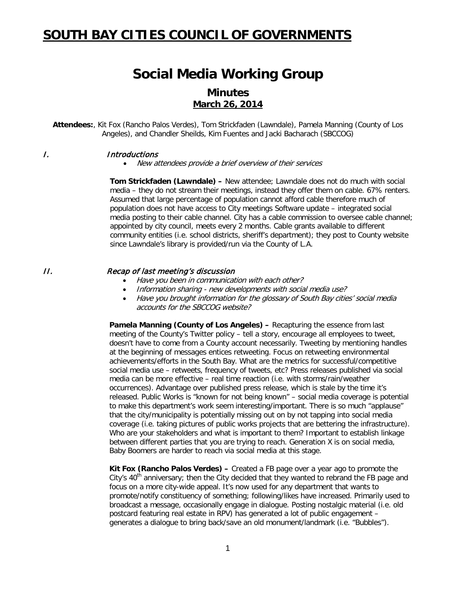# **SOUTH BAY CITIES COUNCIL OF GOVERNMENTS**

# **Social Media Working Group**

## **Minutes March 26, 2014**

**Attendees:**, Kit Fox (Rancho Palos Verdes), Tom Strickfaden (Lawndale), Pamela Manning (County of Los Angeles), and Chandler Sheilds, Kim Fuentes and Jacki Bacharach (SBCCOG)

#### I. Introductions

• New attendees provide a brief overview of their services

**Tom Strickfaden (Lawndale) –** New attendee; Lawndale does not do much with social media – they do not stream their meetings, instead they offer them on cable. 67% renters. Assumed that large percentage of population cannot afford cable therefore much of population does not have access to City meetings Software update – integrated social media posting to their cable channel. City has a cable commission to oversee cable channel; appointed by city council, meets every 2 months. Cable grants available to different community entities (i.e. school districts, sheriff's department); they post to County website since Lawndale's library is provided/run via the County of L.A.

### II. Recap of last meeting's discussion

- Have you been in communication with each other?
- Information sharing new developments with social media use?
- Have you brought information for the glossary of South Bay cities' social media accounts for the SBCCOG website?

**Pamela Manning (County of Los Angeles) –** Recapturing the essence from last meeting of the County's Twitter policy – tell a story, encourage all employees to tweet, doesn't have to come from a County account necessarily. Tweeting by mentioning handles at the beginning of messages entices retweeting. Focus on retweeting environmental achievements/efforts in the South Bay. What are the metrics for successful/competitive social media use – retweets, frequency of tweets, etc? Press releases published via social media can be more effective – real time reaction (i.e. with storms/rain/weather occurrences). Advantage over published press release, which is stale by the time it's released. Public Works is "known for not being known" – social media coverage is potential to make this department's work seem interesting/important. There is so much "applause" that the city/municipality is potentially missing out on by not tapping into social media coverage (i.e. taking pictures of public works projects that are bettering the infrastructure). Who are your stakeholders and what is important to them? Important to establish linkage between different parties that you are trying to reach. Generation X is on social media, Baby Boomers are harder to reach via social media at this stage.

**Kit Fox (Rancho Palos Verdes) –** Created a FB page over a year ago to promote the City's  $40<sup>th</sup>$  anniversary; then the City decided that they wanted to rebrand the FB page and focus on a more city-wide appeal. It's now used for any department that wants to promote/notify constituency of something; following/likes have increased. Primarily used to broadcast a message, occasionally engage in dialogue. Posting nostalgic material (i.e. old postcard featuring real estate in RPV) has generated a lot of public engagement – generates a dialogue to bring back/save an old monument/landmark (i.e. "Bubbles").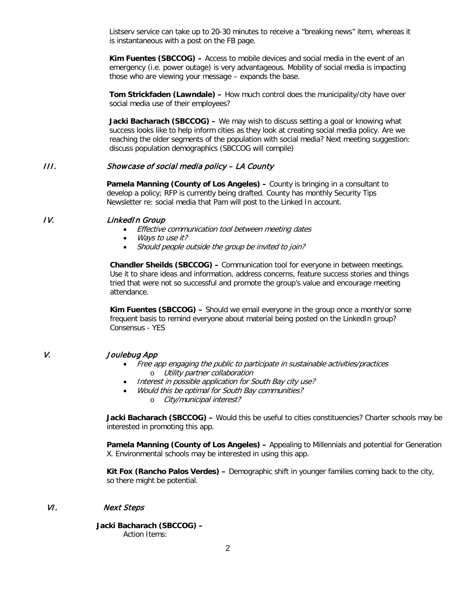Listserv service can take up to 20-30 minutes to receive a "breaking news" item, whereas it is instantaneous with a post on the FB page.

**Kim Fuentes (SBCCOG) –** Access to mobile devices and social media in the event of an emergency (i.e. power outage) is very advantageous. Mobility of social media is impacting those who are viewing your message – expands the base.

**Tom Strickfaden (Lawndale) –** How much control does the municipality/city have over social media use of their employees?

**Jacki Bacharach (SBCCOG) –** We may wish to discuss setting a goal or knowing what success looks like to help inform cities as they look at creating social media policy. Are we reaching the older segments of the population with social media? Next meeting suggestion: discuss population demographics (SBCCOG will compile)

### III. Showcase of social media policy – LA County

**Pamela Manning (County of Los Angeles) –** County is bringing in a consultant to develop a policy; RFP is currently being drafted. County has monthly Security Tips Newsletter re: social media that Pam will post to the Linked In account.

### IV. LinkedIn Group

- Effective communication tool between meeting dates
- Ways to use it?
- Should people outside the group be invited to join?

**Chandler Sheilds (SBCCOG) –** Communication tool for everyone in between meetings. Use it to share ideas and information, address concerns, feature success stories and things tried that were not so successful and promote the group's value and encourage meeting attendance.

**Kim Fuentes (SBCCOG) –** Should we email everyone in the group once a month/or some frequent basis to remind everyone about material being posted on the LinkedIn group? Consensus - YES

#### V. Joulebug App

- Free app engaging the public to participate in sustainable activities/practices o Utility partner collaboration
- Interest in possible application for South Bay city use?
	- Would this be optimal for South Bay communities? o City/municipal interest?

**Jacki Bacharach (SBCCOG) –** Would this be useful to cities constituencies? Charter schools may be interested in promoting this app.

**Pamela Manning (County of Los Angeles) –** Appealing to Millennials and potential for Generation X. Environmental schools may be interested in using this app.

**Kit Fox (Rancho Palos Verdes) –** Demographic shift in younger families coming back to the city, so there might be potential.

#### VI. Next Steps

**Jacki Bacharach (SBCCOG) –** Action Items: